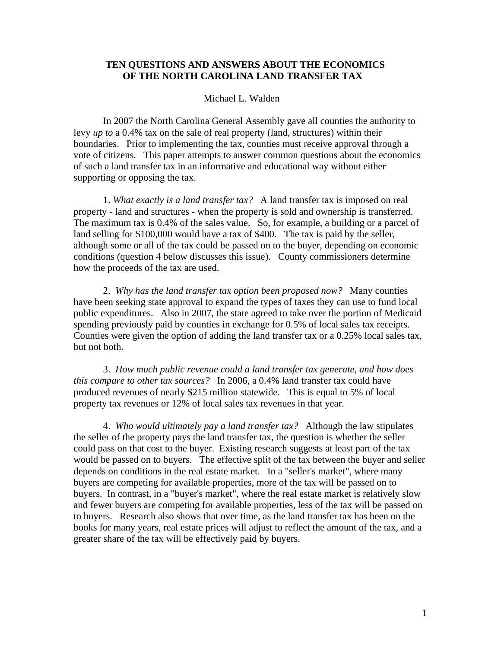## **TEN QUESTIONS AND ANSWERS ABOUT THE ECONOMICS OF THE NORTH CAROLINA LAND TRANSFER TAX**

## Michael L. Walden

In 2007 the North Carolina General Assembly gave all counties the authority to levy *up to* a 0.4% tax on the sale of real property (land, structures) within their boundaries. Prior to implementing the tax, counties must receive approval through a vote of citizens. This paper attempts to answer common questions about the economics of such a land transfer tax in an informative and educational way without either supporting or opposing the tax.

1. *What exactly is a land transfer tax?* A land transfer tax is imposed on real property - land and structures - when the property is sold and ownership is transferred. The maximum tax is 0.4% of the sales value. So, for example, a building or a parcel of land selling for \$100,000 would have a tax of \$400. The tax is paid by the seller, although some or all of the tax could be passed on to the buyer, depending on economic conditions (question 4 below discusses this issue). County commissioners determine how the proceeds of the tax are used.

 2. *Why has the land transfer tax option been proposed now?* Many counties have been seeking state approval to expand the types of taxes they can use to fund local public expenditures. Also in 2007, the state agreed to take over the portion of Medicaid spending previously paid by counties in exchange for 0.5% of local sales tax receipts. Counties were given the option of adding the land transfer tax or a 0.25% local sales tax, but not both.

3. *How much public revenue could a land transfer tax generate, and how does this compare to other tax sources?* In 2006, a 0.4% land transfer tax could have produced revenues of nearly \$215 million statewide. This is equal to 5% of local property tax revenues or 12% of local sales tax revenues in that year.

4. *Who would ultimately pay a land transfer tax?* Although the law stipulates the seller of the property pays the land transfer tax, the question is whether the seller could pass on that cost to the buyer. Existing research suggests at least part of the tax would be passed on to buyers. The effective split of the tax between the buyer and seller depends on conditions in the real estate market. In a "seller's market", where many buyers are competing for available properties, more of the tax will be passed on to buyers. In contrast, in a "buyer's market", where the real estate market is relatively slow and fewer buyers are competing for available properties, less of the tax will be passed on to buyers. Research also shows that over time, as the land transfer tax has been on the books for many years, real estate prices will adjust to reflect the amount of the tax, and a greater share of the tax will be effectively paid by buyers.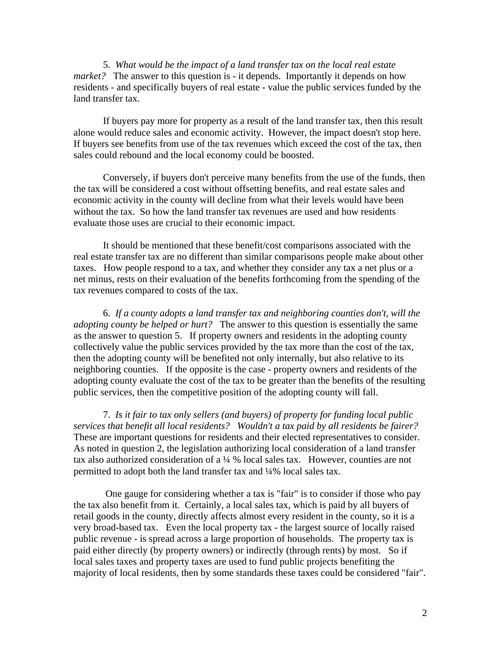5. *What would be the impact of a land transfer tax on the local real estate market?* The answer to this question is - it depends. Importantly it depends on how residents - and specifically buyers of real estate - value the public services funded by the land transfer tax.

If buyers pay more for property as a result of the land transfer tax, then this result alone would reduce sales and economic activity. However, the impact doesn't stop here. If buyers see benefits from use of the tax revenues which exceed the cost of the tax, then sales could rebound and the local economy could be boosted.

Conversely, if buyers don't perceive many benefits from the use of the funds, then the tax will be considered a cost without offsetting benefits, and real estate sales and economic activity in the county will decline from what their levels would have been without the tax. So how the land transfer tax revenues are used and how residents evaluate those uses are crucial to their economic impact.

It should be mentioned that these benefit/cost comparisons associated with the real estate transfer tax are no different than similar comparisons people make about other taxes. How people respond to a tax, and whether they consider any tax a net plus or a net minus, rests on their evaluation of the benefits forthcoming from the spending of the tax revenues compared to costs of the tax.

6. *If a county adopts a land transfer tax and neighboring counties don't, will the adopting county be helped or hurt?* The answer to this question is essentially the same as the answer to question 5. If property owners and residents in the adopting county collectively value the public services provided by the tax more than the cost of the tax, then the adopting county will be benefited not only internally, but also relative to its neighboring counties. If the opposite is the case - property owners and residents of the adopting county evaluate the cost of the tax to be greater than the benefits of the resulting public services, then the competitive position of the adopting county will fall.

 7. *Is it fair to tax only sellers (and buyers) of property for funding local public services that benefit all local residents? Wouldn't a tax paid by all residents be fairer?*  These are important questions for residents and their elected representatives to consider. As noted in question 2, the legislation authorizing local consideration of a land transfer tax also authorized consideration of a ¼ % local sales tax. However, counties are not permitted to adopt both the land transfer tax and ¼% local sales tax.

 One gauge for considering whether a tax is "fair" is to consider if those who pay the tax also benefit from it. Certainly, a local sales tax, which is paid by all buyers of retail goods in the county, directly affects almost every resident in the county, so it is a very broad-based tax. Even the local property tax - the largest source of locally raised public revenue - is spread across a large proportion of households. The property tax is paid either directly (by property owners) or indirectly (through rents) by most. So if local sales taxes and property taxes are used to fund public projects benefiting the majority of local residents, then by some standards these taxes could be considered "fair".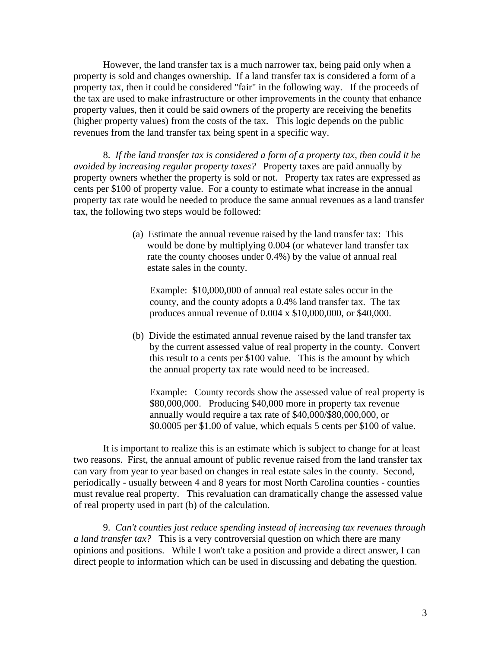However, the land transfer tax is a much narrower tax, being paid only when a property is sold and changes ownership. If a land transfer tax is considered a form of a property tax, then it could be considered "fair" in the following way. If the proceeds of the tax are used to make infrastructure or other improvements in the county that enhance property values, then it could be said owners of the property are receiving the benefits (higher property values) from the costs of the tax. This logic depends on the public revenues from the land transfer tax being spent in a specific way.

8. *If the land transfer tax is considered a form of a property tax, then could it be avoided by increasing regular property taxes?* Property taxes are paid annually by property owners whether the property is sold or not. Property tax rates are expressed as cents per \$100 of property value. For a county to estimate what increase in the annual property tax rate would be needed to produce the same annual revenues as a land transfer tax, the following two steps would be followed:

> (a) Estimate the annual revenue raised by the land transfer tax: This would be done by multiplying 0.004 (or whatever land transfer tax rate the county chooses under 0.4%) by the value of annual real estate sales in the county.

Example: \$10,000,000 of annual real estate sales occur in the county, and the county adopts a 0.4% land transfer tax. The tax produces annual revenue of 0.004 x \$10,000,000, or \$40,000.

(b) Divide the estimated annual revenue raised by the land transfer tax by the current assessed value of real property in the county. Convert this result to a cents per \$100 value. This is the amount by which the annual property tax rate would need to be increased.

Example: County records show the assessed value of real property is \$80,000,000. Producing \$40,000 more in property tax revenue annually would require a tax rate of \$40,000/\$80,000,000, or \$0.0005 per \$1.00 of value, which equals 5 cents per \$100 of value.

It is important to realize this is an estimate which is subject to change for at least two reasons. First, the annual amount of public revenue raised from the land transfer tax can vary from year to year based on changes in real estate sales in the county. Second, periodically - usually between 4 and 8 years for most North Carolina counties - counties must revalue real property. This revaluation can dramatically change the assessed value of real property used in part (b) of the calculation.

9. *Can't counties just reduce spending instead of increasing tax revenues through a land transfer tax?* This is a very controversial question on which there are many opinions and positions. While I won't take a position and provide a direct answer, I can direct people to information which can be used in discussing and debating the question.